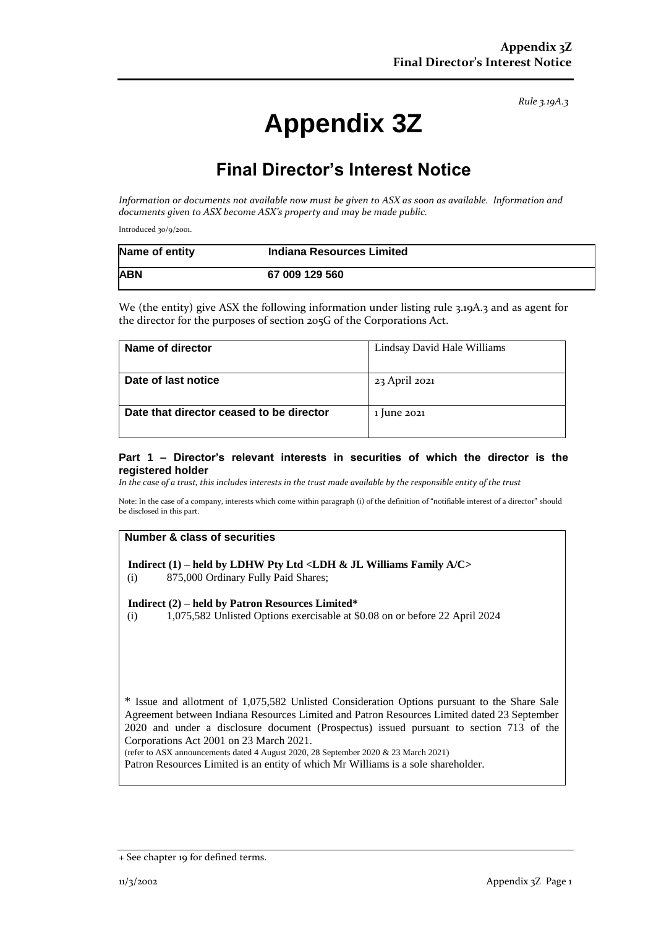*Rule 3.19A.3*

# **Appendix 3Z**

## **Final Director's Interest Notice**

*Information or documents not available now must be given to ASX as soon as available. Information and documents given to ASX become ASX's property and may be made public.*

Introduced 30/9/2001.

| Name of entity | Indiana Resources Limited |
|----------------|---------------------------|
| <b>ABN</b>     | 67 009 129 560            |

We (the entity) give ASX the following information under listing rule 3.19A.3 and as agent for the director for the purposes of section 205G of the Corporations Act.

| Name of director                         | Lindsay David Hale Williams |
|------------------------------------------|-----------------------------|
| Date of last notice                      | 23 April 2021               |
| Date that director ceased to be director | 1 June 2021                 |

#### **Part 1 – Director's relevant interests in securities of which the director is the registered holder**

*In the case of a trust, this includes interests in the trust made available by the responsible entity of the trust*

Note: In the case of a company, interests which come within paragraph (i) of the definition of "notifiable interest of a director" should be disclosed in this part.

#### **Number & class of securities**

**Indirect (1) – held by LDHW Pty Ltd <LDH & JL Williams Family A/C>**

(i) 875,000 Ordinary Fully Paid Shares;

**Indirect (2) – held by Patron Resources Limited\***

(i) 1,075,582 Unlisted Options exercisable at \$0.08 on or before 22 April 2024

\* Issue and allotment of 1,075,582 Unlisted Consideration Options pursuant to the Share Sale Agreement between Indiana Resources Limited and Patron Resources Limited dated 23 September 2020 and under a disclosure document (Prospectus) issued pursuant to section 713 of the Corporations Act 2001 on 23 March 2021.

(refer to ASX announcements dated 4 August 2020, 28 September 2020 & 23 March 2021)

Patron Resources Limited is an entity of which Mr Williams is a sole shareholder.

<sup>+</sup> See chapter 19 for defined terms.